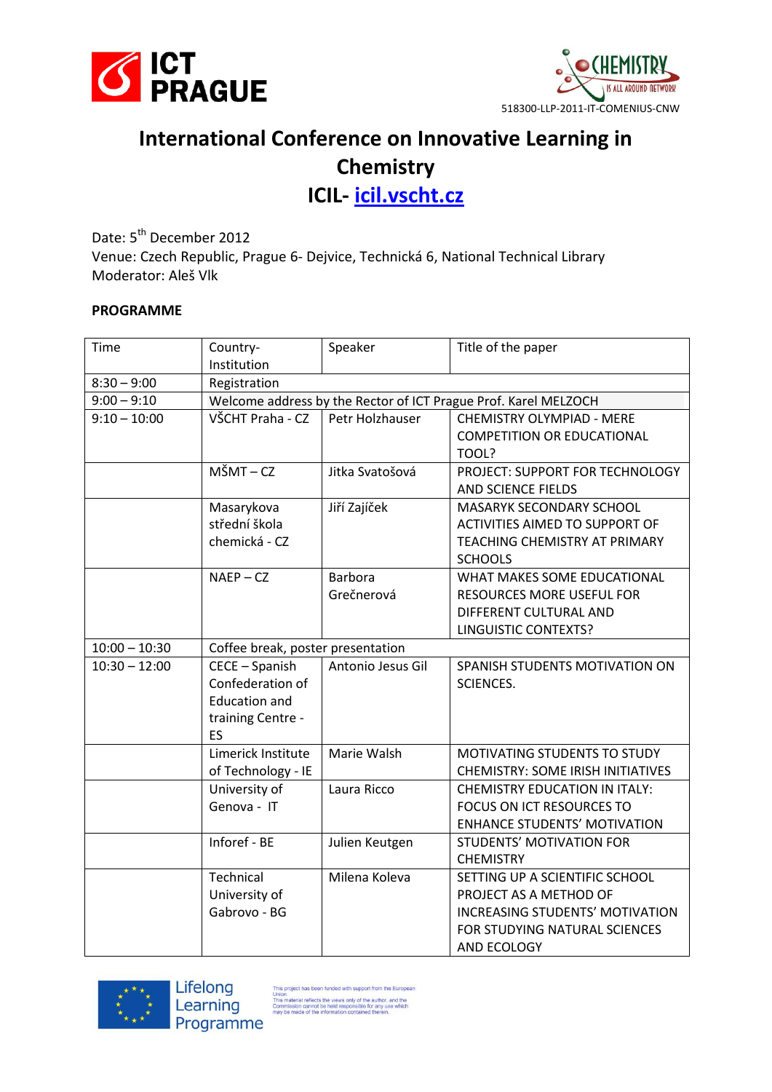



## **International Conference on Innovative Learning in Chemistry**

**ICIL- <icil.vscht.cz>**

Date: 5<sup>th</sup> December 2012 Venue: Czech Republic, Prague 6- Dejvice, Technická 6, National Technical Library Moderator: Aleš Vlk

## **PROGRAMME**

| Time            | Country-<br>Institution                                                 | Speaker           | Title of the paper                       |  |
|-----------------|-------------------------------------------------------------------------|-------------------|------------------------------------------|--|
| $8:30 - 9:00$   | Registration                                                            |                   |                                          |  |
| $9:00 - 9:10$   | Welcome address by the Rector of ICT Prague Prof. Karel MELZOCH         |                   |                                          |  |
| $9:10 - 10:00$  | VŠCHT Praha - CZ<br>Petr Holzhauser<br><b>CHEMISTRY OLYMPIAD - MERE</b> |                   |                                          |  |
|                 |                                                                         |                   | <b>COMPETITION OR EDUCATIONAL</b>        |  |
|                 |                                                                         |                   | TOOL?                                    |  |
|                 | $M\check{S}MT - CZ$                                                     | Jitka Svatošová   | PROJECT: SUPPORT FOR TECHNOLOGY          |  |
|                 |                                                                         |                   | AND SCIENCE FIELDS                       |  |
|                 | Masarykova                                                              | Jiří Zajíček      | MASARYK SECONDARY SCHOOL                 |  |
|                 | střední škola                                                           |                   | <b>ACTIVITIES AIMED TO SUPPORT OF</b>    |  |
|                 | chemická - CZ                                                           |                   | TEACHING CHEMISTRY AT PRIMARY            |  |
|                 |                                                                         |                   | <b>SCHOOLS</b>                           |  |
|                 | $NAEP - CZ$                                                             | <b>Barbora</b>    | WHAT MAKES SOME EDUCATIONAL              |  |
|                 |                                                                         | Grečnerová        | <b>RESOURCES MORE USEFUL FOR</b>         |  |
|                 |                                                                         |                   | DIFFERENT CULTURAL AND                   |  |
|                 |                                                                         |                   | <b>LINGUISTIC CONTEXTS?</b>              |  |
| $10:00 - 10:30$ | Coffee break, poster presentation                                       |                   |                                          |  |
| $10:30 - 12:00$ | CECE - Spanish                                                          | Antonio Jesus Gil | SPANISH STUDENTS MOTIVATION ON           |  |
|                 | Confederation of                                                        |                   | <b>SCIENCES.</b>                         |  |
|                 | <b>Education and</b>                                                    |                   |                                          |  |
|                 | training Centre -                                                       |                   |                                          |  |
|                 | <b>ES</b>                                                               |                   |                                          |  |
|                 | Limerick Institute                                                      | Marie Walsh       | MOTIVATING STUDENTS TO STUDY             |  |
|                 | of Technology - IE                                                      |                   | <b>CHEMISTRY: SOME IRISH INITIATIVES</b> |  |
|                 | University of                                                           | Laura Ricco       | <b>CHEMISTRY EDUCATION IN ITALY:</b>     |  |
|                 | Genova - IT                                                             |                   | FOCUS ON ICT RESOURCES TO                |  |
|                 |                                                                         |                   | <b>ENHANCE STUDENTS' MOTIVATION</b>      |  |
|                 | Inforef - BE                                                            | Julien Keutgen    | <b>STUDENTS' MOTIVATION FOR</b>          |  |
|                 |                                                                         |                   | <b>CHEMISTRY</b>                         |  |
|                 | Technical                                                               | Milena Koleva     | SETTING UP A SCIENTIFIC SCHOOL           |  |
|                 | University of                                                           |                   | PROJECT AS A METHOD OF                   |  |
|                 | Gabrovo - BG                                                            |                   | INCREASING STUDENTS' MOTIVATION          |  |
|                 |                                                                         |                   | FOR STUDYING NATURAL SCIENCES            |  |
|                 |                                                                         |                   | AND ECOLOGY                              |  |